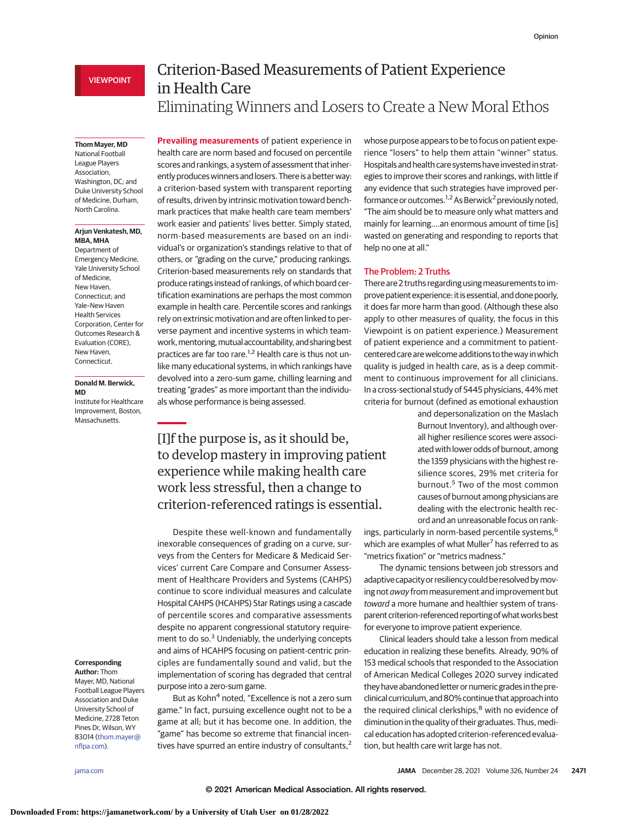## VIEWPOINT

# Criterion-Based Measurements of Patient Experience in Health Care Eliminating Winners and Losers to Create a New Moral Ethos

#### **Thom Mayer, MD**

National Football League Players Association, Washington, DC; and Duke University School of Medicine, Durham, North Carolina.

#### **Arjun Venkatesh, MD, MBA, MHA**

Department of Emergency Medicine, Yale University School of Medicine, New Haven, Connecticut; and Yale–New Haven Health Services Corporation, Center for Outcomes Research & Evaluation (CORE), New Haven, Connecticut.

## **Donald M. Berwick, MD**

Institute for Healthcare Improvement, Boston, Massachusetts.

**Prevailing measurements** of patient experience in health care are norm based and focused on percentile scores and rankings, a system of assessment that inherently produces winners and losers. There is a better way: a criterion-based system with transparent reporting of results, driven by intrinsic motivation toward benchmark practices that make health care team members' work easier and patients' lives better. Simply stated, norm-based measurements are based on an individual's or organization's standings relative to that of others, or "grading on the curve," producing rankings. Criterion-based measurements rely on standards that produce ratings instead of rankings, of which board certification examinations are perhaps the most common example in health care. Percentile scores and rankings rely on extrinsic motivation and are often linked to perverse payment and incentive systems in which teamwork, mentoring, mutual accountability, and sharing best practices are far too rare.<sup>1,2</sup> Health care is thus not unlike many educational systems, in which rankings have devolved into a zero-sum game, chilling learning and treating "grades" as more important than the individuals whose performance is being assessed.

[I]f the purpose is, as it should be, to develop mastery in improving patient experience while making health care work less stressful, then a change to criterion-referenced ratings is essential.

Despite these well-known and fundamentally inexorable consequences of grading on a curve, surveys from the Centers for Medicare & Medicaid Services' current Care Compare and Consumer Assessment of Healthcare Providers and Systems (CAHPS) continue to score individual measures and calculate Hospital CAHPS (HCAHPS) Star Ratings using a cascade of percentile scores and comparative assessments despite no apparent congressional statutory requirement to do so. $3$  Undeniably, the underlying concepts and aims of HCAHPS focusing on patient-centric principles are fundamentally sound and valid, but the implementation of scoring has degraded that central purpose into a zero-sum game.

But as Kohn<sup>4</sup> noted, "Excellence is not a zero sum game." In fact, pursuing excellence ought not to be a game at all; but it has become one. In addition, the "game" has become so extreme that financial incentives have spurred an entire industry of consultants,<sup>2</sup> whose purpose appears to be to focus on patient experience "losers" to help them attain "winner" status. Hospitals and health care systems have invested in strategies to improve their scores and rankings, with little if any evidence that such strategies have improved performance or outcomes.<sup>1,2</sup> As Berwick<sup>2</sup> previously noted, "The aim should be to measure only what matters and mainly for learning….an enormous amount of time [is] wasted on generating and responding to reports that help no one at all."

## The Problem: 2 Truths

There are 2 truths regarding using measurements to improve patient experience: it is essential, and done poorly, it does far more harm than good. (Although these also apply to other measures of quality, the focus in this Viewpoint is on patient experience.) Measurement of patient experience and a commitment to patientcentered care are welcome additions to the way in which quality is judged in health care, as is a deep commitment to continuous improvement for all clinicians. In a cross-sectional study of 5445 physicians, 44% met criteria for burnout (defined as emotional exhaustion

> and depersonalization on the Maslach Burnout Inventory), and although overall higher resilience scores were associated with lower odds of burnout, among the 1359 physicians with the highest resilience scores, 29% met criteria for burnout.<sup>5</sup> Two of the most common causes of burnout among physicians are dealing with the electronic health record and an unreasonable focus on rank-

ings, particularly in norm-based percentile systems,<sup>6</sup> which are examples of what Muller<sup>7</sup> has referred to as "metrics fixation" or "metrics madness."

The dynamic tensions between job stressors and adaptive capacity or resiliency could be resolved bymoving not away from measurement and improvement but toward a more humane and healthier system of transparent criterion-referenced reporting of what works best for everyone to improve patient experience.

Clinical leaders should take a lesson from medical education in realizing these benefits. Already, 90% of 153 medical schools that responded to the Association of American Medical Colleges 2020 survey indicated they have abandoned letter or numeric grades in the preclinical curriculum, and 80% continue that approach into the required clinical clerkships,<sup>8</sup> with no evidence of diminution in the quality of their graduates. Thus, medical education has adopted criterion-referenced evaluation, but health care writ large has not.

#### **Corresponding Author:** Thom

Mayer, MD, National Football League Players Association and Duke University School of Medicine, 2728 Teton Pines Dr, Wilson, WY 83014 [\(thom.mayer@](mailto:thom.mayer@nflpa.com) [nflpa.com\)](mailto:thom.mayer@nflpa.com).